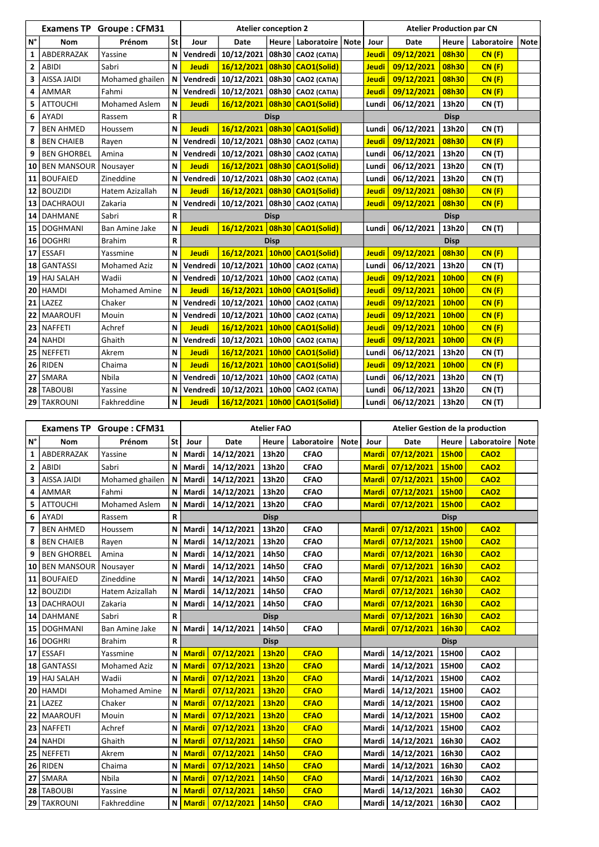|                | <b>Examens TP</b>  | <b>Groupe: CFM31</b> |              |              | <b>Atelier conception 2</b>                    |             |                              |  | <b>Atelier Production par CN</b> |                        |              |               |             |  |
|----------------|--------------------|----------------------|--------------|--------------|------------------------------------------------|-------------|------------------------------|--|----------------------------------|------------------------|--------------|---------------|-------------|--|
| $N^{\circ}$    | <b>Nom</b>         | Prénom               | <b>St</b>    | Jour         | <b>Date</b>                                    | Heure       | Laboratoire   Note           |  | Jour                             | <b>Date</b>            | <b>Heure</b> | Laboratoire   | <b>Note</b> |  |
| 1              | ABDERRAZAK         | Yassine              | N            | Vendredi     | 10/12/2021                                     | 08h30       | CAO2 (CATIA)                 |  | <b>Jeudi</b>                     | 09/12/2021             | 08h30        | CN(F)         |             |  |
| $\overline{2}$ | <b>ABIDI</b>       | Sabri                | N            | <b>Jeudi</b> | 16/12/2021                                     | 08h30       | <b>CAO1(Solid)</b>           |  | <b>Jeudi</b>                     | 09/12/2021             | 08h30        | CN(F)         |             |  |
| 3              | <b>AISSA JAIDI</b> | Mohamed ghailen      | N            | Vendredi     | 10/12/2021                                     | 08h30       | <b>CAO2 (CATIA)</b>          |  | <b>Jeudi</b>                     | 09/12/2021             | 08h30        | CN(F)         |             |  |
| 4              | <b>AMMAR</b>       | Fahmi                | N            | Vendredi     | 10/12/2021                                     |             | 08h30   CAO2 (CATIA)         |  | Jeudi                            | 09/12/2021             | 08h30        | CN(F)         |             |  |
| 5              | <b>ATTOUCHI</b>    | <b>Mohamed Aslem</b> | N            | <b>Jeudi</b> | 16/12/2021                                     |             | 08h30 CAO1(Solid)            |  | Lundi                            | 06/12/2021             | 13h20        | <b>CN (T)</b> |             |  |
| 6              | <b>AYADI</b>       | Rassem               | R            |              |                                                | <b>Disp</b> |                              |  |                                  |                        | <b>Disp</b>  |               |             |  |
| 7              | <b>BEN AHMED</b>   | Houssem              | N            | <b>Jeudi</b> | 16/12/2021                                     | 08h30       | <b>CAO1(Solid)</b>           |  | Lundi                            | 06/12/2021             | 13h20        | <b>CN (T)</b> |             |  |
| 8              | <b>BEN CHAIEB</b>  | Rayen                | N            | Vendredi     | 10/12/2021                                     | 08h30       | CAO2 (CATIA)                 |  | <b>Jeudi</b>                     | 09/12/2021             | 08h30        | CN(F)         |             |  |
| 9              | <b>BEN GHORBEL</b> | Amina                | N            | Vendredi     | 10/12/2021                                     |             | 08h30   CAO2 (CATIA)         |  | Lundi                            | 06/12/2021             | 13h20        | CN (T)        |             |  |
| 10             | <b>BEN MANSOUR</b> | Nousayer             | N            | <b>Jeudi</b> | 16/12/2021                                     | 08h30       | <b>CAO1(Solid)</b>           |  | Lundi                            | 06/12/2021             | 13h20        | CN (T)        |             |  |
| 11             | <b>BOUFAIED</b>    | Zineddine            | N            | Vendredi     | 10/12/2021                                     |             | 08h30 CAO2 (CATIA)           |  | Lundi                            | 06/12/2021             | 13h20        | CN(T)         |             |  |
| 12             | <b>BOUZIDI</b>     | Hatem Azizallah      | N            | <b>Jeudi</b> | 16/12/2021                                     | 08h30       | <b>CAO1(Solid)</b>           |  | <b>Jeudi</b>                     | 09/12/2021             | 08h30        | CN(F)         |             |  |
| 13             | <b>DACHRAOUI</b>   | Zakaria              | N            | Vendredi     | 10/12/2021                                     |             | 08h30 CAO2 (CATIA)           |  | <b>Jeudi</b>                     | 09/12/2021             | 08h30        | CN(F)         |             |  |
| 14             | <b>DAHMANE</b>     | Sabri                | R            |              | <b>Disp</b>                                    |             |                              |  | <b>Disp</b>                      |                        |              |               |             |  |
| 15             | <b>DOGHMANI</b>    | Ban Amine Jake       | N            | <b>Jeudi</b> | 16/12/2021                                     |             | 08h30 CAO1(Solid)            |  | Lundi                            | 06/12/2021             | 13h20        | <b>CN (T)</b> |             |  |
| 16             | <b>DOGHRI</b>      | <b>Brahim</b>        | R            |              |                                                | <b>Disp</b> |                              |  | <b>Disp</b>                      |                        |              |               |             |  |
| 17             | <b>ESSAFI</b>      | Yassmine             | N            | <b>Jeudi</b> | 16/12/2021                                     |             | 10h00 CAO1(Solid)            |  | <b>Jeudi</b>                     | 09/12/2021             | 08h30        | CN(F)         |             |  |
| 18             | <b>GANTASSI</b>    | <b>Mohamed Aziz</b>  | N            | Vendredi     | 10/12/2021                                     | 10h00       | CAO2 (CATIA)                 |  | Lundi                            | 06/12/2021             | 13h20        | <b>CN (T)</b> |             |  |
|                | 19 HAJ SALAH       | Wadii                | N            | Vendredi     | 10/12/2021                                     | 10h00       | CAO2 (CATIA)                 |  | <b>Jeudi</b>                     | 09/12/2021             | 10h00        | CN(F)         |             |  |
| 20             | <b>HAMDI</b>       | <b>Mohamed Amine</b> | $\mathsf{N}$ | <b>Jeudi</b> | 16/12/2021                                     | 10h00       | <b>CAO1(Solid)</b>           |  | <b>Jeudi</b>                     | 09/12/2021             | 10h00        | CN(F)         |             |  |
| 21             | LAZEZ              | Chaker               | N            | Vendredi     | 10/12/2021                                     | 10h00       | CAO2 (CATIA)                 |  | Jeudi                            | 09/12/2021             | 10h00        | CN(F)         |             |  |
|                | 22   MAAROUFI      | Mouin                | N            | Vendredi     | 10/12/2021                                     |             | 10h00   CAO2 (CATIA)         |  | <b>Jeudi</b>                     | 09/12/2021             | 10h00        | CN(F)         |             |  |
|                | 23   NAFFETI       | Achref               | N            | <b>Jeudi</b> | 16/12/2021                                     | 10h00       | <b>CAO1(Solid)</b>           |  | <b>Jeudi</b>                     | 09/12/2021             | 10h00        | CN(F)         |             |  |
|                | 24   NAHDI         | Ghaith               |              |              | N Vendredi   10/12/2021   10h00   CAO2 (CATIA) |             |                              |  |                                  | Jeudi 09/12/2021 10h00 |              | <b>CN (F)</b> |             |  |
|                | $25$ NEFFETI       | Akrem                | $\mathsf{N}$ | <b>Jeudi</b> |                                                |             | 16/12/2021 10h00 CAO1(Solid) |  | Lundi                            | 06/12/2021             | 13h20        | CN (T)        |             |  |
|                | $26$ RIDEN         | Chaima               | N            | <b>Jeudi</b> |                                                |             | 16/12/2021 10h00 CAO1(Solid) |  | <b>Jeudi</b>                     | 09/12/2021             | 10h00        | CN(F)         |             |  |
|                | $27$ SMARA         | Nbila                | N            |              | Vendredi   10/12/2021   10h00   CAO2 (CATIA)   |             |                              |  | Lundi                            | 06/12/2021             | 13h20        | CN (T)        |             |  |
|                | 28 TABOUBI         | Yassine              | N            | Vendredi     | 10/12/2021                                     |             | 10h00 CAO2 (CATIA)           |  | Lundi                            | 06/12/2021             | 13h20        | CN (T)        |             |  |
|                | 29 TAKROUNI        | Fakhreddine          | N            | <b>Jeudi</b> |                                                |             | 16/12/2021 10h00 CAO1(Solid) |  | Lundi                            | 06/12/2021             | 13h20        | CN (T)        |             |  |

|                    |                    | <b>Examens TP Groupe: CFM31</b> |                 | <b>Atelier FAO</b> |                          |              |             |             | <b>Atelier Gestion de la production</b> |                            |              |             |      |  |
|--------------------|--------------------|---------------------------------|-----------------|--------------------|--------------------------|--------------|-------------|-------------|-----------------------------------------|----------------------------|--------------|-------------|------|--|
| $\mathsf{N}^\circ$ | <b>Nom</b>         | Prénom                          | St <sub>1</sub> | Jour               | <b>Date</b>              | <b>Heure</b> | Laboratoire | <b>Note</b> | Jour                                    | <b>Date</b>                | <b>Heure</b> | Laboratoire | Note |  |
| $\mathbf{1}$       | ABDERRAZAK         | Yassine                         | N               | Mardi              | 14/12/2021               | 13h20        | <b>CFAO</b> |             | <b>Mardi</b>                            | 07/12/2021                 | <b>15h00</b> | <b>CAO2</b> |      |  |
| $\mathbf{2}$       | <b>ABIDI</b>       | Sabri                           | N               | Mardi              | 14/12/2021               | 13h20        | <b>CFAO</b> |             | <b>Mardi</b>                            | 07/12/2021                 | 15h00        | <b>CAO2</b> |      |  |
| 3                  | <b>AISSA JAIDI</b> | Mohamed ghailen                 | N               | Mardi              | 14/12/2021               | 13h20        | <b>CFAO</b> |             | <b>Mardi</b>                            | 07/12/2021                 | 15h00        | <b>CAO2</b> |      |  |
| 4                  | AMMAR              | Fahmi                           | N               | Mardi              | 14/12/2021               | 13h20        | <b>CFAO</b> |             | <b>Mardi</b>                            | 07/12/2021                 | <b>15h00</b> | <b>CAO2</b> |      |  |
| 5                  | <b>ATTOUCHI</b>    | <b>Mohamed Aslem</b>            | N               | Mardi              | 14/12/2021               | 13h20        | <b>CFAO</b> |             | <b>Mardi</b>                            | 07/12/2021                 | 15h00        | <b>CAO2</b> |      |  |
| 6                  | <b>AYADI</b>       | Rassem                          | $\mathsf R$     |                    |                          | <b>Disp</b>  |             |             |                                         |                            | <b>Disp</b>  |             |      |  |
| 7                  | <b>BEN AHMED</b>   | Houssem                         | N               | Mardi              | 14/12/2021               | 13h20        | <b>CFAO</b> |             | <b>Mardi</b>                            | 07/12/2021                 | <b>15h00</b> | <b>CAO2</b> |      |  |
| 8                  | <b>BEN CHAIEB</b>  | Rayen                           | N               | Mardi              | 14/12/2021               | 13h20        | <b>CFAO</b> |             | <b>Mardi</b>                            | 07/12/2021                 | <b>15h00</b> | <b>CAO2</b> |      |  |
| 9                  | <b>BEN GHORBEL</b> | Amina                           | N               | Mardi              | 14/12/2021               | 14h50        | <b>CFAO</b> |             | <b>Mardi</b>                            | 07/12/2021                 | 16h30        | <b>CAO2</b> |      |  |
|                    | 10 BEN MANSOUR     | Nousayer                        | N               | Mardi              | 14/12/2021               | 14h50        | <b>CFAO</b> |             | <b>Mardi</b>                            | 07/12/2021                 | 16h30        | <b>CAO2</b> |      |  |
|                    | 11   BOUFAIED      | Zineddine                       | N               | Mardi              | 14/12/2021               | 14h50        | <b>CFAO</b> |             | <b>Mardi</b>                            | 07/12/2021                 | 16h30        | <b>CAO2</b> |      |  |
|                    | $12$ BOUZIDI       | Hatem Azizallah                 | N               | Mardi              | 14/12/2021               | 14h50        | <b>CFAO</b> |             | <b>Mardi</b>                            | 07/12/2021                 | 16h30        | <b>CAO2</b> |      |  |
|                    | 13   DACHRAOUI     | Zakaria                         | N               | Mardi              | 14/12/2021               | 14h50        | <b>CFAO</b> |             | <b>Mardi</b>                            | 07/12/2021                 | 16h30        | <b>CAO2</b> |      |  |
|                    | 14   DAHMANE       | Sabri                           | R               |                    |                          | <b>Disp</b>  |             |             | <b>Mardi</b>                            | 07/12/2021                 | 16h30        | <b>CAO2</b> |      |  |
|                    | 15   DOGHMANI      | Ban Amine Jake                  | N               | Mardi              | 14/12/2021               | 14h50        | <b>CFAO</b> |             | <b>Mardi</b>                            | 07/12/2021                 | 16h30        | <b>CAO2</b> |      |  |
|                    | 16 DOGHRI          | <b>Brahim</b>                   | R               |                    |                          | <b>Disp</b>  |             |             |                                         |                            | <b>Disp</b>  |             |      |  |
|                    | $17$ ESSAFI        | Yassmine                        | N               | <b>Mardi</b>       | 07/12/2021               | 13h20        | <b>CFAO</b> |             | Mardi                                   | 14/12/2021                 | 15H00        | <b>CAO2</b> |      |  |
|                    | 18 GANTASSI        | <b>Mohamed Aziz</b>             | N               | <b>Mardi</b>       | 07/12/2021               | 13h20        | <b>CFAO</b> |             | Mardi                                   | 14/12/2021                 | 15H00        | <b>CAO2</b> |      |  |
|                    | 19 HAJ SALAH       | Wadii                           | N               | <b>Mardi</b>       | 07/12/2021               | 13h20        | <b>CFAO</b> |             | Mardi                                   | 14/12/2021                 | 15H00        | <b>CAO2</b> |      |  |
|                    | $20$ HAMDI         | <b>Mohamed Amine</b>            | N               | <b>Mardi</b>       | 07/12/2021               | 13h20        | <b>CFAO</b> |             | Mardi                                   | 14/12/2021                 | 15H00        | <b>CAO2</b> |      |  |
|                    | $21$ LAZEZ         | Chaker                          | N               | <b>Mardi</b>       | 07/12/2021               | 13h20        | <b>CFAO</b> |             | Mardi                                   | 14/12/2021                 | 15H00        | <b>CAO2</b> |      |  |
|                    | 22   MAAROUFI      | Mouin                           | N               | <b>Mardi</b>       | 07/12/2021               | 13h20        | <b>CFAO</b> |             | Mardi                                   | 14/12/2021                 | 15H00        | <b>CAO2</b> |      |  |
|                    | 23 NAFFETI         | Achref                          | N               | <b>Mardi</b>       | 07/12/2021               | 13h20        | <b>CFAO</b> |             | Mardi                                   | 14/12/2021                 | 15H00        | <b>CAO2</b> |      |  |
|                    | $ 24 $ NAHDI       | Ghaith                          |                 |                    | N Mardi 07/12/2021 14h50 |              | <b>CFAO</b> |             |                                         | Mardi   14/12/2021   16h30 |              | <b>CAO2</b> |      |  |
|                    | <b>25 NEFFETI</b>  | Akrem                           | $\mathsf{N}$    |                    | Mardi 07/12/2021         | 14h50        | <b>CFAO</b> |             | Mardi                                   | 14/12/2021                 | 16h30        | <b>CAO2</b> |      |  |
|                    | 26 RIDEN           | Chaima                          | N               |                    | Mardi 07/12/2021         | 14h50        | <b>CFAO</b> |             | Mardi                                   | 14/12/2021                 | 16h30        | <b>CAO2</b> |      |  |
|                    | $ 27 $ SMARA       | Nbila                           | N               |                    | Mardi 07/12/2021         | 14h50        | <b>CFAO</b> |             | Mardi                                   | 14/12/2021                 | 16h30        | <b>CAO2</b> |      |  |
|                    | <b>28 TABOUBI</b>  | Yassine                         | N               | <b>Mardi</b>       | 07/12/2021               | 14h50        | <b>CFAO</b> |             | Mardi                                   | 14/12/2021                 | 16h30        | <b>CAO2</b> |      |  |
|                    | 29 TAKROUNI        | Fakhreddine                     |                 |                    | N   Mardi   07/12/2021   | 14h50        | <b>CFAO</b> |             | Mardi                                   | 14/12/2021                 | 16h30        | <b>CAO2</b> |      |  |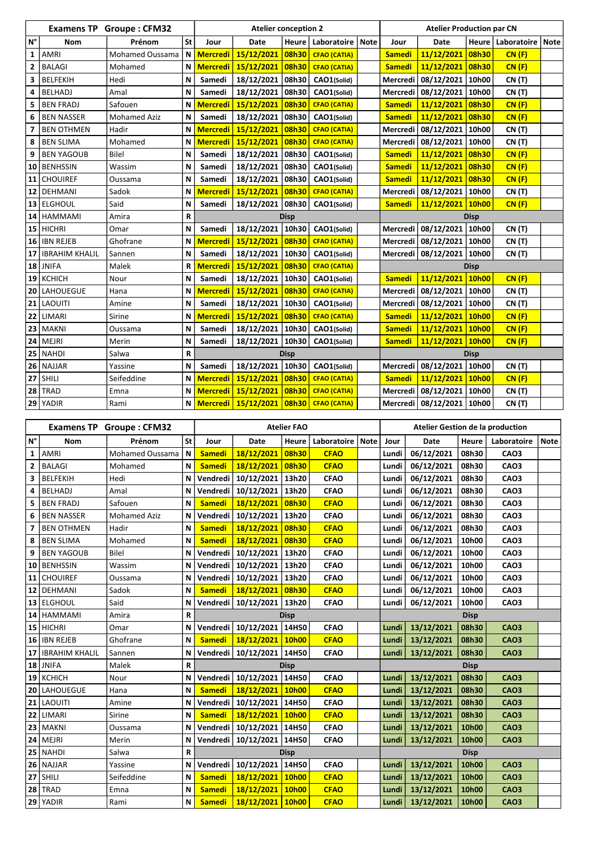|                         | <b>Examens TP</b>     | <b>Groupe: CFM32</b> |              | <b>Atelier conception 2</b> |                                          |              |                     |             |               | <b>Atelier Production par CN</b> |             |                            |  |  |  |
|-------------------------|-----------------------|----------------------|--------------|-----------------------------|------------------------------------------|--------------|---------------------|-------------|---------------|----------------------------------|-------------|----------------------------|--|--|--|
| $N^{\circ}$             | <b>Nom</b>            | Prénom               | <b>St</b>    | Jour                        | <b>Date</b>                              | <b>Heure</b> | Laboratoire         | <b>Note</b> | Jour          | <b>Date</b>                      |             | Heure   Laboratoire   Note |  |  |  |
| 1                       | <b>AMRI</b>           | Mohamed Oussama      | N            | <b>Mercredi</b>             | 15/12/2021                               | 08h30        | <b>CFAO (CATIA)</b> |             | <b>Samedi</b> | 11/12/2021                       | 08h30       | CN(F)                      |  |  |  |
| $\overline{\mathbf{2}}$ | <b>BALAGI</b>         | Mohamed              | N            | <b>Mercredi</b>             | 15/12/2021                               | 08h30        | <b>CFAO (CATIA)</b> |             | <b>Samedi</b> | 11/12/2021                       | 08h30       | CN(F)                      |  |  |  |
| 3                       | <b>BELFEKIH</b>       | Hedi                 | N            | Samedi                      | 18/12/2021                               | 08h30        | CAO1(Solid)         |             | Mercredi      | 08/12/2021                       | 10h00       | <b>CN (T)</b>              |  |  |  |
| 4                       | <b>BELHADJ</b>        | Amal                 | N            | Samedi                      | 18/12/2021                               | 08h30        | CAO1(Solid)         |             | Mercredi      | 08/12/2021                       | 10h00       | CN(T)                      |  |  |  |
|                         | <b>BEN FRADJ</b>      | Safouen              | N            | <b>Mercredi</b>             | 15/12/2021                               | 08h30        | <b>CFAO (CATIA)</b> |             | <b>Samedi</b> | 11/12/2021                       | 08h30       | CN(F)                      |  |  |  |
| 6                       | <b>BEN NASSER</b>     | <b>Mohamed Aziz</b>  | N            | Samedi                      | 18/12/2021                               | 08h30        | CAO1(Solid)         |             | <b>Samedi</b> | 11/12/2021                       | 08h30       | CN(F)                      |  |  |  |
| 7                       | <b>BEN OTHMEN</b>     | Hadir                | N            | <b>Mercredi</b>             | 15/12/2021                               | 08h30        | <b>CFAO (CATIA)</b> |             | Mercredi      | 08/12/2021                       | 10h00       | CN(T)                      |  |  |  |
| 8                       | <b>BEN SLIMA</b>      | Mohamed              | N            | <b>Mercredi</b>             | 15/12/2021                               | 08h30        | <b>CFAO (CATIA)</b> |             | Mercredi      | 08/12/2021                       | 10h00       | CN(T)                      |  |  |  |
| 9                       | <b>BEN YAGOUB</b>     | <b>Bilel</b>         | N            | Samedi                      | 18/12/2021                               | 08h30        | CAO1(Solid)         |             | <b>Samedi</b> | 11/12/2021                       | 08h30       | CN(F)                      |  |  |  |
| 10                      | <b>BENHSSIN</b>       | Wassim               | N            | Samedi                      | 18/12/2021                               | 08h30        | CAO1(Solid)         |             | <b>Samedi</b> | 11/12/2021                       | 08h30       | CN(F)                      |  |  |  |
|                         | 11 CHOUIREF           | Oussama              | N            | Samedi                      | 18/12/2021                               | 08h30        | CAO1(Solid)         |             | <b>Samedi</b> | 11/12/2021                       | 08h30       | CN(F)                      |  |  |  |
|                         | 12 DEHMANI            | Sadok                | N            | <b>Mercredi</b>             | 15/12/2021                               | 08h30        | <b>CFAO (CATIA)</b> |             | Mercredi      | 08/12/2021                       | 10h00       | <b>CN (T)</b>              |  |  |  |
|                         | 13 ELGHOUL            | Said                 | N            | Samedi                      | 18/12/2021                               | 08h30        | CAO1(Solid)         |             | <b>Samedi</b> | 11/12/2021                       | 10h00       | CN(F)                      |  |  |  |
| 14                      | <b>HAMMAMI</b>        | Amira                | $\mathsf{R}$ |                             | <b>Disp</b><br><b>Disp</b>               |              |                     |             |               |                                  |             |                            |  |  |  |
|                         | $15$ HICHRI           | Omar                 | N            | Samedi                      | 18/12/2021                               | 10h30        | CAO1(Solid)         |             | Mercredi      | 08/12/2021                       | 10h00       | <b>CN (T)</b>              |  |  |  |
| 16                      | <b>IBN REJEB</b>      | Ghofrane             | N            | <b>Mercredi</b>             | 15/12/2021                               | 08h30        | <b>CFAO (CATIA)</b> |             |               | Mercredi   08/12/2021            | 10h00       | <b>CN (T)</b>              |  |  |  |
| 17                      | <b>IBRAHIM KHALIL</b> | Sannen               | N            | Samedi                      | 18/12/2021                               | 10h30        | CAO1(Solid)         |             |               | Mercredi   08/12/2021            | 10h00       | <b>CN (T)</b>              |  |  |  |
|                         | $18$ JNIFA            | Malek                | $\mathsf{R}$ | <b>Mercredi</b>             | 15/12/2021                               | 08h30        | <b>CFAO (CATIA)</b> |             |               |                                  | <b>Disp</b> |                            |  |  |  |
|                         | $19$ KCHICH           | Nour                 | N            | Samedi                      | 18/12/2021                               | 10h30        | CAO1(Solid)         |             | <b>Samedi</b> | 11/12/2021                       | 10h00       | CN(F)                      |  |  |  |
| 20                      | <b>LAHOUEGUE</b>      | Hana                 | N            | <b>Mercredi</b>             | 15/12/2021                               | 08h30        | <b>CFAO (CATIA)</b> |             | Mercredi      | 08/12/2021                       | 10h00       | <b>CN (T)</b>              |  |  |  |
| 21                      | <b>LAOUITI</b>        | Amine                | $\mathsf{N}$ | Samedi                      | 18/12/2021                               | 10h30        | CAO1(Solid)         |             | Mercredi      | 08/12/2021                       | 10h00       | <b>CN (T)</b>              |  |  |  |
| 22                      | <b>LIMARI</b>         | Sirine               | $\mathsf{N}$ | <b>Mercredi</b>             | 15/12/2021                               | 08h30        | <b>CFAO (CATIA)</b> |             | <b>Samedi</b> | 11/12/2021                       | 10h00       | CN(F)                      |  |  |  |
|                         | <b>23   MAKNI</b>     | Oussama              | $\mathbf N$  | Samedi                      | 18/12/2021                               | 10h30        | CAO1(Solid)         |             | <b>Samedi</b> | 11/12/2021                       | 10h00       | CN(F)                      |  |  |  |
|                         | $24$ MEJRI            | Merin                | N            | Samedi                      | 18/12/2021   10h30   CAO1(Solid)         |              |                     |             | <b>Samedi</b> | 11/12/2021   10h00               |             | CN(F)                      |  |  |  |
|                         | $25$ NAHDI            | Salwa                | $\mathsf R$  |                             |                                          | <b>Disp</b>  |                     |             |               | <b>Disp</b>                      |             |                            |  |  |  |
|                         | $26$ NAJJAR           | Yassine              | $\mathsf N$  | Samedi                      | 18/12/2021   10h30                       |              | CAO1(Solid)         |             | Mercredi      | 08/12/2021   10h00               |             | CN(T)                      |  |  |  |
|                         | $27$ SHILI            | Seifeddine           | $\mathsf N$  | <b>Mercredi</b>             | 15/12/2021 08h30 CFAO (CATIA)            |              |                     |             | <b>Samedi</b> | 11/12/2021 10h00                 |             | CN(F)                      |  |  |  |
|                         | $28$ TRAD             | Emna                 | N            | <b>Mercredi</b>             | 15/12/2021 08h30 CFAO (CATIA)            |              |                     |             |               | Mercredi   08/12/2021            | 10h00       | <b>CN (T)</b>              |  |  |  |
|                         | 29 YADIR              | Rami                 |              |                             | N Mercredi 15/12/2021 08h30 CFAO (CATIA) |              |                     |             |               | Mercredi   08/12/2021   10h00    |             | CN (T)                     |  |  |  |

|                |                     | <b>Examens TP Groupe: CFM32</b> |              | <b>Atelier FAO</b> |                                 |              |                    |  |       | <b>Atelier Gestion de la production</b> |             |             |             |  |
|----------------|---------------------|---------------------------------|--------------|--------------------|---------------------------------|--------------|--------------------|--|-------|-----------------------------------------|-------------|-------------|-------------|--|
| $N^{\circ}$    | <b>Nom</b>          | Prénom                          | St           | Jour               | Date                            | <b>Heure</b> | Laboratoire   Note |  | Jour  | <b>Date</b>                             | Heure       | Laboratoire | <b>Note</b> |  |
| $\mathbf{1}$   | <b>AMRI</b>         | Mohamed Oussama                 | $\mathbf N$  | <b>Samedi</b>      | 18/12/2021                      | 08h30        | <b>CFAO</b>        |  | Lundi | 06/12/2021                              | 08h30       | <b>CAO3</b> |             |  |
| $\overline{2}$ | <b>BALAGI</b>       | Mohamed                         | $\mathbf N$  | <b>Samedi</b>      | 18/12/2021                      | 08h30        | <b>CFAO</b>        |  | Lundi | 06/12/2021                              | 08h30       | <b>CAO3</b> |             |  |
| 3              | <b>BELFEKIH</b>     | Hedi                            | N            | Vendredi           | 10/12/2021                      | 13h20        | <b>CFAO</b>        |  | Lundi | 06/12/2021                              | 08h30       | <b>CAO3</b> |             |  |
| 4              | <b>BELHADJ</b>      | Amal                            | N            | Vendredi           | 10/12/2021                      | 13h20        | <b>CFAO</b>        |  | Lundi | 06/12/2021                              | 08h30       | <b>CAO3</b> |             |  |
|                | <b>BEN FRADJ</b>    | Safouen                         | N            | <b>Samedi</b>      | 18/12/2021                      | 08h30        | <b>CFAO</b>        |  | Lundi | 06/12/2021                              | 08h30       | <b>CAO3</b> |             |  |
| 6              | <b>BEN NASSER</b>   | <b>Mohamed Aziz</b>             | N            | Vendredi           | 10/12/2021                      | 13h20        | <b>CFAO</b>        |  | Lundi | 06/12/2021                              | 08h30       | <b>CAO3</b> |             |  |
| 7              | <b>BEN OTHMEN</b>   | Hadir                           | N            | <b>Samedi</b>      | 18/12/2021                      | 08h30        | <b>CFAO</b>        |  | Lundi | 06/12/2021                              | 08h30       | <b>CAO3</b> |             |  |
| 8              | <b>BEN SLIMA</b>    | Mohamed                         | N            | <b>Samedi</b>      | 18/12/2021                      | 08h30        | <b>CFAO</b>        |  | Lundi | 06/12/2021                              | 10h00       | <b>CAO3</b> |             |  |
| 9              | <b>BEN YAGOUB</b>   | <b>Bilel</b>                    | N            | Vendredi           | 10/12/2021   13h20              |              | <b>CFAO</b>        |  | Lundi | 06/12/2021                              | 10h00       | <b>CAO3</b> |             |  |
|                | 10   BENHSSIN       | Wassim                          | N            | Vendredi           | 10/12/2021                      | 13h20        | <b>CFAO</b>        |  | Lundi | 06/12/2021                              | 10h00       | <b>CAO3</b> |             |  |
|                | 11 CHOUIREF         | Oussama                         | N            | Vendredi           | 10/12/2021                      | 13h20        | <b>CFAO</b>        |  | Lundi | 06/12/2021                              | 10h00       | <b>CAO3</b> |             |  |
|                | 12   DEHMANI        | Sadok                           | N            | <b>Samedi</b>      | 18/12/2021                      | 08h30        | <b>CFAO</b>        |  | Lundi | 06/12/2021                              | 10h00       | <b>CAO3</b> |             |  |
|                | 13 ELGHOUL          | Said                            | N            |                    | Vendredi   10/12/2021   13h20   |              | <b>CFAO</b>        |  | Lundi | 06/12/2021                              | 10h00       | <b>CAO3</b> |             |  |
|                | 14   HAMMAMI        | Amira                           | R            |                    |                                 | <b>Disp</b>  |                    |  |       | <b>Disp</b>                             |             |             |             |  |
|                | $15$ HICHRI         | Omar                            | N            | Vendredi           | 10/12/2021                      | 14H50        | <b>CFAO</b>        |  | Lundi | 13/12/2021                              | 08h30       | <b>CAO3</b> |             |  |
|                | 16   IBN REJEB      | Ghofrane                        | N            | <b>Samedi</b>      | 18/12/2021                      | 10h00        | <b>CFAO</b>        |  | Lundi | 13/12/2021                              | 08h30       | <b>CAO3</b> |             |  |
|                | 17   IBRAHIM KHALIL | Sannen                          | N            | Vendredi           | 10/12/2021 14H50                |              | <b>CFAO</b>        |  | Lundi | 13/12/2021                              | 08h30       | <b>CAO3</b> |             |  |
|                | $18$ JNIFA          | Malek                           | $\mathsf{R}$ |                    |                                 | <b>Disp</b>  |                    |  |       |                                         | <b>Disp</b> |             |             |  |
|                | $19$ KCHICH         | Nour                            | N            | Vendredi           | 10/12/2021 14H50                |              | <b>CFAO</b>        |  | Lundi | 13/12/2021                              | 08h30       | <b>CAO3</b> |             |  |
| 20             | <b>LAHOUEGUE</b>    | Hana                            | N            | <b>Samedi</b>      | 18/12/2021                      | 10h00        | <b>CFAO</b>        |  | Lundi | 13/12/2021                              | 08h30       | <b>CAO3</b> |             |  |
|                | 21 LAOUITI          | Amine                           | N            | Vendredi           | 10/12/2021                      | 14H50        | <b>CFAO</b>        |  | Lundi | 13/12/2021                              | 08h30       | <b>CAO3</b> |             |  |
|                | $22$ LIMARI         | Sirine                          | N            | <b>Samedi</b>      | 18/12/2021 10h00                |              | <b>CFAO</b>        |  | Lundi | 13/12/2021                              | 08h30       | <b>CAO3</b> |             |  |
|                | $23$ MAKNI          | Oussama                         | N            |                    | Vendredi   10/12/2021   14H50   |              | <b>CFAO</b>        |  | Lundi | 13/12/2021                              | 10h00       | <b>CAO3</b> |             |  |
|                | $24$ MEJRI          | Merin                           |              |                    | N Vendredi   10/12/2021   14H50 |              | <b>CFAO</b>        |  |       | Lundi 13/12/2021                        | 10h00       | <b>CAO3</b> |             |  |
|                | $25$ NAHDI          | Salwa                           | R            |                    |                                 | <b>Disp</b>  |                    |  |       | <b>Disp</b>                             |             |             |             |  |
|                | $26$ NAJJAR         | Yassine                         | $\mathbf N$  |                    | Vendredi   10/12/2021   14H50   |              | <b>CFAO</b>        |  | Lundi | 13/12/2021                              | 10h00       | <b>CAO3</b> |             |  |
|                | $27$ SHILI          | Seifeddine                      | $\mathbf N$  | <b>Samedi</b>      | 18/12/2021 10h00                |              | <b>CFAO</b>        |  | Lundi | 13/12/2021                              | 10h00       | <b>CAO3</b> |             |  |
|                | $28$ TRAD           | Emna                            | $\mathbf N$  | <b>Samedi</b>      | 18/12/2021 10h00                |              | <b>CFAO</b>        |  | Lundi | 13/12/2021                              | 10h00       | <b>CAO3</b> |             |  |
|                | 29 YADIR            | Rami                            | $\mathsf{N}$ | <b>Samedi</b>      | 18/12/2021 10h00                |              | <b>CFAO</b>        |  | Lundi | 13/12/2021                              | 10h00       | <b>CAO3</b> |             |  |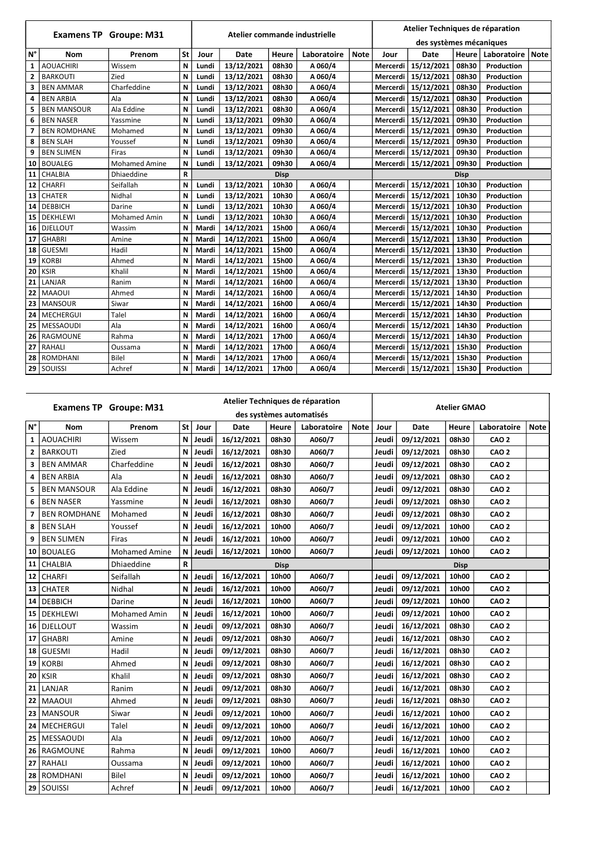|                         | <b>Examens TP Groupe: M31</b> |                      |           |       | Atelier commande industrielle |              |             | Atelier Techniques de réparation |          |                         |              |                   |             |
|-------------------------|-------------------------------|----------------------|-----------|-------|-------------------------------|--------------|-------------|----------------------------------|----------|-------------------------|--------------|-------------------|-------------|
|                         |                               |                      |           |       |                               |              |             |                                  |          | des systèmes mécaniques |              |                   |             |
| $N^{\circ}$             | <b>Nom</b>                    | Prenom               | <b>St</b> | Jour  | <b>Date</b>                   | <b>Heure</b> | Laboratoire | <b>Note</b>                      | Jour     | <b>Date</b>             | <b>Heure</b> | Laboratoire       | <b>Note</b> |
| $\mathbf{1}$            | <b>AOUACHIRI</b>              | Wissem               | N         | Lundi | 13/12/2021                    | 08h30        | A 060/4     |                                  | Mercerdi | 15/12/2021              | 08h30        | Production        |             |
| $\overline{2}$          | <b>BARKOUTI</b>               | Zied                 | N         | Lundi | 13/12/2021                    | 08h30        | A 060/4     |                                  | Mercerdi | 15/12/2021              | 08h30        | Production        |             |
| 3                       | <b>BEN AMMAR</b>              | Charfeddine          | N         | Lundi | 13/12/2021                    | 08h30        | A 060/4     |                                  | Mercerdi | 15/12/2021              | 08h30        | Production        |             |
| 4                       | <b>BEN ARBIA</b>              | Ala                  | N         | Lundi | 13/12/2021                    | 08h30        | A 060/4     |                                  | Mercerdi | 15/12/2021              | 08h30        | <b>Production</b> |             |
| 5                       | <b>BEN MANSOUR</b>            | Ala Eddine           | N         | Lundi | 13/12/2021                    | 08h30        | A 060/4     |                                  | Mercerdi | 15/12/2021              | 08h30        | <b>Production</b> |             |
| 6                       | <b>BEN NASER</b>              | Yassmine             | N         | Lundi | 13/12/2021                    | 09h30        | A 060/4     |                                  | Mercerdi | 15/12/2021              | 09h30        | <b>Production</b> |             |
| $\overline{\mathbf{z}}$ | <b>BEN ROMDHANE</b>           | Mohamed              | N         | Lundi | 13/12/2021                    | 09h30        | A 060/4     |                                  | Mercerdi | 15/12/2021              | 09h30        | Production        |             |
| 8                       | <b>BEN SLAH</b>               | Youssef              | N         | Lundi | 13/12/2021                    | 09h30        | A 060/4     |                                  | Mercerdi | 15/12/2021              | 09h30        | Production        |             |
| 9                       | <b>BEN SLIMEN</b>             | <b>Firas</b>         | N         | Lundi | 13/12/2021                    | 09h30        | A 060/4     |                                  | Mercerdi | 15/12/2021              | 09h30        | <b>Production</b> |             |
| 10                      | <b>BOUALEG</b>                | <b>Mohamed Amine</b> | N         | Lundi | 13/12/2021                    | 09h30        | A 060/4     |                                  | Mercerdi | 15/12/2021              | 09h30        | <b>Production</b> |             |
| 11                      | <b>CHALBIA</b>                | Dhiaeddine           | ${\sf R}$ |       |                               | <b>Disp</b>  |             |                                  |          |                         | <b>Disp</b>  |                   |             |
| 12                      | <b>CHARFI</b>                 | Seifallah            | N         | Lundi | 13/12/2021                    | 10h30        | A 060/4     |                                  | Mercerdi | 15/12/2021              | 10h30        | <b>Production</b> |             |
| 13                      | <b>CHATER</b>                 | Nidhal               | N         | Lundi | 13/12/2021                    | 10h30        | A 060/4     |                                  | Mercerdi | 15/12/2021              | 10h30        | <b>Production</b> |             |
| 14                      | <b>DEBBICH</b>                | Darine               | N         | Lundi | 13/12/2021                    | 10h30        | A 060/4     |                                  | Mercerdi | 15/12/2021              | 10h30        | <b>Production</b> |             |
| 15                      | <b>DEKHLEWI</b>               | <b>Mohamed Amin</b>  | N         | Lundi | 13/12/2021                    | 10h30        | A 060/4     |                                  | Mercerdi | 15/12/2021              | 10h30        | <b>Production</b> |             |
| 16                      | <b>DJELLOUT</b>               | Wassim               | N         | Mardi | 14/12/2021                    | 15h00        | A 060/4     |                                  | Mercerdi | 15/12/2021              | 10h30        | Production        |             |
| 17                      | <b>GHABRI</b>                 | Amine                | N         | Mardi | 14/12/2021                    | 15h00        | A 060/4     |                                  | Mercerdi | 15/12/2021              | 13h30        | <b>Production</b> |             |
| 18                      | <b>GUESMI</b>                 | Hadil                | N         | Mardi | 14/12/2021                    | 15h00        | A 060/4     |                                  | Mercerdi | 15/12/2021              | 13h30        | <b>Production</b> |             |
| 19                      | <b>KORBI</b>                  | Ahmed                | N         | Mardi | 14/12/2021                    | 15h00        | A 060/4     |                                  | Mercerdi | 15/12/2021              | 13h30        | <b>Production</b> |             |
| 20                      | <b>KSIR</b>                   | Khalil               | N         | Mardi | 14/12/2021                    | 15h00        | A 060/4     |                                  |          | Mercerdi   15/12/2021   | 13h30        | Production        |             |
| 21                      | LANJAR                        | Ranim                | N         | Mardi | 14/12/2021                    | 16h00        | A 060/4     |                                  | Mercerdi | 15/12/2021              | 13h30        | <b>Production</b> |             |
| 22                      | <b>MAAOUI</b>                 | Ahmed                | N         | Mardi | 14/12/2021                    | 16h00        | A 060/4     |                                  | Mercerdi | 15/12/2021              | 14h30        | <b>Production</b> |             |
| 23                      | <b>MANSOUR</b>                | Siwar                | N         | Mardi | 14/12/2021                    | 16h00        | A 060/4     |                                  | Mercerdi | 15/12/2021              | 14h30        | <b>Production</b> |             |
| 24                      | <b>MECHERGUI</b>              | <b>Talel</b>         | N         | Mardi | 14/12/2021                    | 16h00        | A 060/4     |                                  | Mercerdi | 15/12/2021              | 14h30        | <b>Production</b> |             |
| 25                      | <b>MESSAOUDI</b>              | Ala                  | N         | Mardi | 14/12/2021                    | 16h00        | A 060/4     |                                  | Mercerdi | 15/12/2021              | 14h30        | <b>Production</b> |             |
| 26                      | RAGMOUNE                      | Rahma                | N         | Mardi | 14/12/2021                    | 17h00        | A 060/4     |                                  | Mercerdi | 15/12/2021              | 14h30        | Production        |             |
| 27                      | RAHALI                        | Oussama              | N         | Mardi | 14/12/2021                    | 17h00        | A 060/4     |                                  | Mercerdi | 15/12/2021              | 15h30        | <b>Production</b> |             |
| 28                      | <b>ROMDHANI</b>               | <b>Bilel</b>         | N         | Mardi | 14/12/2021                    | 17h00        | A 060/4     |                                  | Mercerdi | 15/12/2021              | 15h30        | Production        |             |
|                         | 29 SOUISSI                    | Achref               | N         | Mardi | 14/12/2021                    | 17h00        | A 060/4     |                                  | Mercerdi | 15/12/2021              | 15h30        | <b>Production</b> |             |

|              | Atelier Techniques de réparation<br><b>Examens TP Groupe: M31</b> |                      |                           |       |                        |              |                          | <b>Atelier GMAO</b> |             |             |              |                  |             |
|--------------|-------------------------------------------------------------------|----------------------|---------------------------|-------|------------------------|--------------|--------------------------|---------------------|-------------|-------------|--------------|------------------|-------------|
|              |                                                                   |                      |                           |       |                        |              | des systèmes automatisés |                     |             |             |              |                  |             |
| $N^{\circ}$  | <b>Nom</b>                                                        | Prenom               | <b>St</b>                 | Jour  | <b>Date</b>            | <b>Heure</b> | Laboratoire              | <b>Note</b>         | Jour        | <b>Date</b> | <b>Heure</b> | Laboratoire      | <b>Note</b> |
| $\mathbf{1}$ | <b>AOUACHIRI</b>                                                  | Wissem               | N                         | Jeudi | 16/12/2021             | 08h30        | A060/7                   |                     | Jeudi       | 09/12/2021  | 08h30        | <b>CAO 2</b>     |             |
| $\mathbf{2}$ | <b>BARKOUTI</b>                                                   | Zied                 | $\mathsf N$               | Jeudi | 16/12/2021             | 08h30        | A060/7                   |                     | Jeudi       | 09/12/2021  | 08h30        | <b>CAO 2</b>     |             |
| 3            | <b>BEN AMMAR</b>                                                  | Charfeddine          | N                         | Jeudi | 16/12/2021             | 08h30        | A060/7                   |                     | Jeudi       | 09/12/2021  | 08h30        | <b>CAO 2</b>     |             |
| 4            | <b>BEN ARBIA</b>                                                  | Ala                  | N                         | Jeudi | 16/12/2021             | 08h30        | A060/7                   |                     | Jeudi       | 09/12/2021  | 08h30        | <b>CAO 2</b>     |             |
| 5            | <b>BEN MANSOUR</b>                                                | Ala Eddine           | N                         | Jeudi | 16/12/2021             | 08h30        | A060/7                   |                     | Jeudi       | 09/12/2021  | 08h30        | <b>CAO 2</b>     |             |
| 6            | <b>BEN NASER</b>                                                  | Yassmine             | N                         | Jeudi | 16/12/2021             | 08h30        | A060/7                   |                     | Jeudi       | 09/12/2021  | 08h30        | <b>CAO 2</b>     |             |
| 7            | <b>BEN ROMDHANE</b>                                               | Mohamed              | N                         | Jeudi | 16/12/2021             | 08h30        | A060/7                   |                     | Jeudi       | 09/12/2021  | 08h30        | <b>CAO 2</b>     |             |
| 8            | <b>BEN SLAH</b>                                                   | Youssef              | N                         | Jeudi | 16/12/2021             | 10h00        | A060/7                   |                     | Jeudi       | 09/12/2021  | 10h00        | <b>CAO 2</b>     |             |
| 9            | <b>BEN SLIMEN</b>                                                 | Firas                | N                         | Jeudi | 16/12/2021             | 10h00        | A060/7                   |                     | Jeudi       | 09/12/2021  | 10h00        | <b>CAO 2</b>     |             |
|              | 10   BOUALEG                                                      | <b>Mohamed Amine</b> | N                         | Jeudi | 16/12/2021             | 10h00        | A060/7                   |                     | Jeudi       | 09/12/2021  | 10h00        | <b>CAO 2</b>     |             |
|              | 11   CHALBIA                                                      | Dhiaeddine           | $\mathbf R$               |       |                        | <b>Disp</b>  |                          |                     | <b>Disp</b> |             |              |                  |             |
|              | 12   CHARFI                                                       | Seifallah            | N                         | Jeudi | 16/12/2021             | 10h00        | A060/7                   |                     | Jeudi       | 09/12/2021  | 10h00        | <b>CAO 2</b>     |             |
|              | $13$ CHATER                                                       | Nidhal               | $\mathbf N$               | Jeudi | 16/12/2021             | 10h00        | A060/7                   |                     | Jeudi       | 09/12/2021  | 10h00        | <b>CAO 2</b>     |             |
|              | 14   DEBBICH                                                      | Darine               | N                         | Jeudi | 16/12/2021             | 10h00        | A060/7                   |                     | Jeudi       | 09/12/2021  | 10h00        | <b>CAO 2</b>     |             |
|              | 15   DEKHLEWI                                                     | <b>Mohamed Amin</b>  | $\boldsymbol{\mathsf{N}}$ | Jeudi | 16/12/2021             | 10h00        | A060/7                   |                     | Jeudi       | 09/12/2021  | 10h00        | <b>CAO 2</b>     |             |
|              | 16   DJELLOUT                                                     | Wassim               | N                         | Jeudi | 09/12/2021             | 08h30        | A060/7                   |                     | Jeudi       | 16/12/2021  | 08h30        | <b>CAO 2</b>     |             |
|              | $17$ GHABRI                                                       | Amine                | N                         | Jeudi | 09/12/2021             | 08h30        | A060/7                   |                     | Jeudi       | 16/12/2021  | 08h30        | <b>CAO 2</b>     |             |
|              | 18   GUESMI                                                       | Hadil                | N                         | Jeudi | 09/12/2021             | 08h30        | A060/7                   |                     | Jeudi       | 16/12/2021  | 08h30        | <b>CAO 2</b>     |             |
|              | $19$ KORBI                                                        | Ahmed                | N                         | Jeudi | 09/12/2021             | 08h30        | A060/7                   |                     | Jeudi       | 16/12/2021  | 08h30        | <b>CAO 2</b>     |             |
|              | $20$ KSIR                                                         | Khalil               | N                         | Jeudi | 09/12/2021             | 08h30        | A060/7                   |                     | Jeudi       | 16/12/2021  | 08h30        | CAO <sub>2</sub> |             |
|              | $21$ LANJAR                                                       | Ranim                | N                         | Jeudi | 09/12/2021             | 08h30        | A060/7                   |                     | Jeudi       | 16/12/2021  | 08h30        | <b>CAO 2</b>     |             |
|              | 22   MAAOUI                                                       | Ahmed                | N                         | Jeudi | 09/12/2021             | 08h30        | A060/7                   |                     | Jeudi       | 16/12/2021  | 08h30        | <b>CAO 2</b>     |             |
|              | 23   MANSOUR                                                      | Siwar                |                           |       | N   Jeudi   09/12/2021 | 10h00        | A060/7                   |                     | Jeudi       | 16/12/2021  | 10h00        | <b>CAO 2</b>     |             |
|              | 24   MECHERGUI                                                    | Talel                | N                         | Jeudi | 09/12/2021             | 10h00        | A060/7                   |                     | Jeudi       | 16/12/2021  | 10h00        | <b>CAO 2</b>     |             |
|              | 25   MESSAOUDI                                                    | Ala                  | N                         | Jeudi | 09/12/2021             | 10h00        | A060/7                   |                     | Jeudi       | 16/12/2021  | 10h00        | <b>CAO 2</b>     |             |
|              | 26   RAGMOUNE                                                     | Rahma                | N                         | Jeudi | 09/12/2021             | 10h00        | A060/7                   |                     | Jeudi       | 16/12/2021  | 10h00        | CAO <sub>2</sub> |             |
|              | 27   RAHALI                                                       | Oussama              | N                         | Jeudi | 09/12/2021             | 10h00        | A060/7                   |                     | Jeudi       | 16/12/2021  | 10h00        | CAO <sub>2</sub> |             |
|              | 28   ROMDHANI                                                     | Bilel                | N                         | Jeudi | 09/12/2021             | 10h00        | A060/7                   |                     | Jeudi       | 16/12/2021  | 10h00        | <b>CAO 2</b>     |             |
|              | 29 SOUISSI                                                        | Achref               | $\mathbf N$               | Jeudi | 09/12/2021             | 10h00        | A060/7                   |                     | Jeudi       | 16/12/2021  | 10h00        | <b>CAO 2</b>     |             |